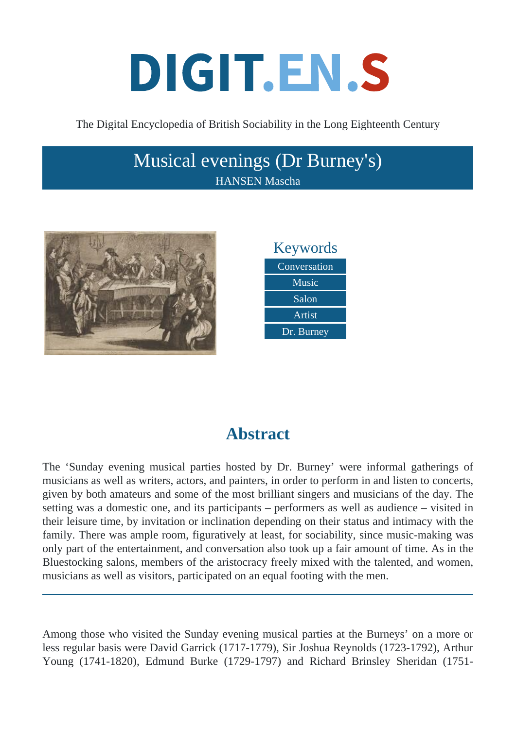# DIGIT.EN.S

The Digital Encyclopedia of British Sociability in the Long Eighteenth Century

## Musical evenings (Dr Burney's) HANSEN Mascha





# **Abstract**

The 'Sunday evening musical parties hosted by Dr. Burney' were informal gatherings of musicians as well as writers, actors, and painters, in order to perform in and listen to concerts, given by both amateurs and some of the most brilliant singers and musicians of the day. The setting was a domestic one, and its participants – performers as well as audience – visited in their leisure time, by invitation or inclination depending on their status and intimacy with the family. There was ample room, figuratively at least, for sociability, since music-making was only part of the entertainment, and conversation also took up a fair amount of time. As in the Bluestocking salons, members of the aristocracy freely mixed with the talented, and women, musicians as well as visitors, participated on an equal footing with the men.

Among those who visited the Sunday evening musical parties at the Burneys' on a more or less regular basis were David Garrick (1717-1779), Sir Joshua Reynolds (1723-1792), Arthur Young (1741-1820), Edmund Burke (1729-1797) and Richard Brinsley Sheridan (1751-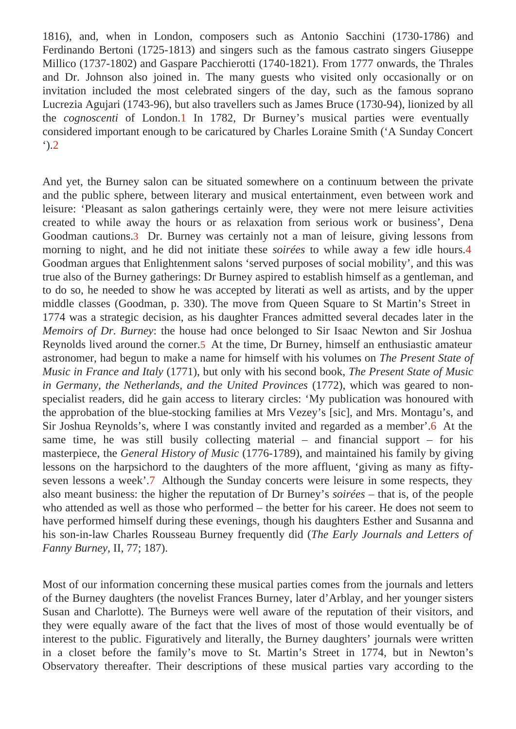1816), and, when in London, composers such as Antonio Sacchini (1730-1786) and Ferdinando Bertoni (1725-1813) and singers such as the famous castrato singers Giusepp Millico (1737-1802) and Gaspare Pacchierotti (1740-1821). From 1777 onwards, the Thrales and Dr. Johnson also joined in. The many guests who visited only occasionally or on invitation included the most celebrated singers of the day, such as the famous soprano Lucrezia Agujari (1743-96), but also travellers such as James Bruce (1730-94), lionized by all the cognoscentiof London.1 In 1782, Dr Burney's musical parties were eventually considered important enough to be caricatured by Charles Loraine Sanglanday Concert  $^{\prime}$ ).2

And yet, the Burney salon can be situated somewhere on a continuum between the private and the public sphere, between literary and musical entertainment, even between work and leisure: 'Pleasant as salon gatherings certainly were, they were not mere leisure activities created to while away the hours or as relaxation from serious work or business', Dena Goodman cautions. Dr. Burney was certainly not a man of leisure, giving lessons from morning to night, and he did not initiate thesseirées to while away a few idle hours. Goodman argues that Enlightenment salons 'served purposes of social mobility', and this was true also of the Burney gatherings: Dr Burney aspired to establish himself as a gentleman, and to do so, he needed to show he was accepted by literati as well as artists, and by the upper middle classes Goodman, p. 330). The move from Queen Square to St Martin's Street in 1774 was a strategic decision, as his daughter Frances admitted several decades later in the Memoirs of Dr. Burneythe house had once belonged to Sir Isaac Newton and Sir Joshua Reynolds lived around the cornerAt the time, Dr Burney, himself an enthusiastic amateur astronomer, had begun to make a name for himself with his volumes of resent State of Music in France and Ital (1771), but only with his second book, Present State of Music in Germany, the Netherlands, and the United Provin  $d\vec{q}$  (32), which was geared to nonspecialist readers, did he gain access to literary circles: 'My publication was honoured with the approbation of the blue-stocking families at Mrs Vezey's [sic], and Mrs. Montagu's, and Sir Joshua Reynolds's, where I was constantly invited and regarded as a member the same time, he was still busily collecting material  $-$  and financial support  $-$  for his masterpiece, the General History of Music (1776-1789), and maintained his family by giving lessons on the harpsichord to the daughters of the more affluent, 'giving as many as fiftyseven lessons a week'. Although the Sunday concerts were leisure in some respects, they also meant business: the higher the reputation of Dr Bursey estect that is, of the people who attended as well as those who performed  $-$  the better for his career. He does not seem have performed himself during these evenings, though his daughters Esther and Susanna and his son-in-law Charles Rousseau Burney frequently dire (Early Journals and Letters of Fanny Burneyll, 77; 187).

Most of our information concerning these musical parties comes from the journals and letters of the Burney daughters (the novelist Frances Burney, later d'Arblay, and her younger sisters Susan and Charlotte). The Burneys were well aware of the reputation of their visitors, and they were equally aware of the fact that the lives of most of those would eventually be of interest to the public. Figuratively and literally, the Burney daughters' journals were written in a closet before the family's move to St. Martin's Street in 1774, but in Newton's Observatory thereafter. Their descriptions of these musical parties vary according to the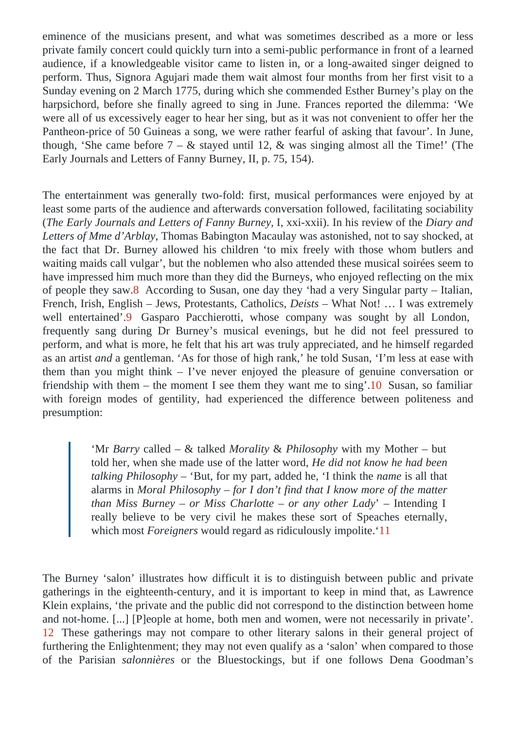eminence of the musicians present, and what was sometimes described as a more or lea private family concert could quickly turn into a semi-public performance in front of a learned audience, if a knowledgeable visitor came to listen in, or a long-awaited singer deigned to perform. Thus, Signora Agujari made them wait almost four months from her first visit to a Sunday evening on 2 March 1775, during which she commended Esther Burney's play on the harpsichord, before she finally agreed to sing in June. Frances reported the dilemma: 'We were all of us excessively eager to hear her sing, but as it was not convenient to offer her the Pantheon-price of 50 Guineas a song, we were rather fearful of asking that favour'. In June, though, 'She came before  $7 - 8$  stayed until 12, & was singing almost all the Time!' (The Early Journals and Letters of Fanny Burney, II, p. 75, 154).

The entertainment was generally two-fold: first, musical performances were enjoyed by at least some parts of the audience and afterwards conversation followed, facilitating sociability (The Early Journals and Letters of Fanny Burnex xii). In his review of the Diary and Letters of Mme d'ArblayThomas Babington Macaulay was astonished, not to say shocked, at the fact that Dr. Burney allowed his children 'to mix freely with those whom butlers and waiting maids call vulgar', but the noblemen who also attended these musical soirées seem to have impressed him much more than they did the Burneys, who enjoyed reflecting on the mix of people they sa $\theta$ . According to Susan, one day they 'had a very Singular party – Italian, French, Irish, English – Jews, Protestants, Cathd Deists – What Not! ... I was extremely well entertained<sup>9</sup> Gasparo Pacchierotti, whose company was sought by all London, frequently sang during Dr Burney's musical evenings, but he did not feel pressured to perform, and what is more, he felt that his art was truly appreciated, and he himself regarded as an artistand a gentleman. 'As for those of high rank,' he told Susan, 'I'm less at ease with them than you might think – I've never enjoyed the pleasure of genuine conversation or friendship with them – the moment I see them they want me to  $sin\ \theta$ usan, so familiar with foreign modes of gentility, had experienced the difference between politeness and presumption:

> 'Mr Barry called – & talked Morality & Philosophy with my Mother – but told her, when she made use of the latter world and know he had been talking Philosophy 'But, for my part, added he, 'I think the measure all that alarms in Moral Philosophy for I don't find that I know more of the matter than Miss Burney or Miss Charlotte – or any other La'dy Intending I really believe to be very civil he makes these sort of Speaches eternally, which most Foreigners would regard as ridiculously impolite.1

The Burney 'salon' illustrates how difficult it is to distinguish between public and private gatherings in the eighteenth-century, and it is important to keep in mind that, as Lawrence Klein explains, 'the private and the public did not correspond to the distinction between home and not-home. [...] [P]eople at home, both men and women, were not necessarily in private'. 12 These gatherings may not compare to other literary salons in their general project of furthering the Enlightenment; they may not even qualify as a 'salon' when compared to those of the Parisian salonnières or the Bluestockings, but if one follows Dena Goodman's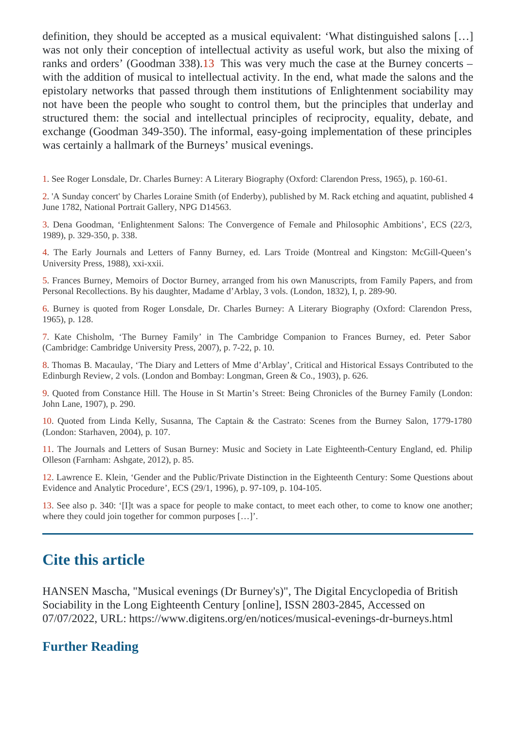definition, they should be accepted as a musical equivalent: 'What distinguished salons […] was not only their conception of intellectual activity as useful work, but also the mixing of ranks and orders' (Goodman 338). This was very much the case at the Burney concerts – with the addition of musical to intellectual activity. In the end, what made the salons and the epistolary networks that passed through them institutions of Enlightenment sociability may not have been the people who sought to control them, but the principles that underlay and structured them: the social and intellectual principles of reciprocity, equality, debate, and exchange Goodman 349-350). The informal, easy-going implementation of these principles was certainly a hallmark of the Burneys' musical evenings.

1. See Roger Lonsdale, Dr. Charles Burney: A Literary Biography (Oxford: Clarendon Press, 1965), p. 160-61.

2. 'A Sunday concert' by Charles Loraine Smith (of Enderby), published by M. Rack etching and aquatint, published 4 June 1782, National Portrait Gallery, NPG D14563.

3. Dena Goodman, 'Enlightenment Salons: The Convergence of Female and Philosophic Ambitions', ECS (22/3, 1989), p. 329-350, p. 338.

4. The Early Journals and Letters of Fanny Burney, ed. Lars Troide (Montreal and Kingston: McGill-Queen's University Press, 1988), xxi-xxii.

5. Frances Burney, Memoirs of Doctor Burney, arranged from his own Manuscripts, from Family Papers, and from Personal Recollections. By his daughter, Madame d'Arblay, 3 vols. (London, 1832), I, p. 289-90.

6. Burney is quoted from Roger Lonsdale, Dr. Charles Burney: A Literary Biography (Oxford: Clarendon Press, 1965), p. 128.

7. Kate Chisholm, 'The Burney Family' in The Cambridge Companion to Frances Burney, ed. Peter Sabor (Cambridge: Cambridge University Press, 2007), p. 7-22, p. 10.

8. Thomas B. Macaulay, 'The Diary and Letters of Mme d'Arblay', Critical and Historical Essays Contributed to the Edinburgh Review, 2 vols. (London and Bombay: Longman, Green & Co., 1903), p. 626.

9. Quoted from Constance Hill. The House in St Martin's Street: Being Chronicles of the Burney Family (London: John Lane, 1907), p. 290.

10. Quoted from Linda Kelly, Susanna, The Captain & the Castrato: Scenes from the Burney Salon, 1779-1780 (London: Starhaven, 2004), p. 107.

11. The Journals and Letters of Susan Burney: Music and Society in Late Eighteenth-Century England, ed. Philip Olleson (Farnham: Ashgate, 2012), p. 85.

12. Lawrence E. Klein, 'Gender and the Public/Private Distinction in the Eighteenth Century: Some Questions about Evidence and Analytic Procedure', ECS (29/1, 1996), p. 97-109, p. 104-105.

13. See also p. 340: '[I]t was a space for people to make contact, to meet each other, to come to know one another; where they could join together for common purposes […]'.

## Cite this article

HANSEN Mascha, "Musical evenings (Dr Burney's)", The Digital Encyclopedia of British Sociability in the Long Eighteenth Centurg political, ISSN 2803-2845, Accessed on 07/07/2022, URL: https://www.digitens.org/en/notices/musical-evenings-dr-burneys.ht

### Further Reading